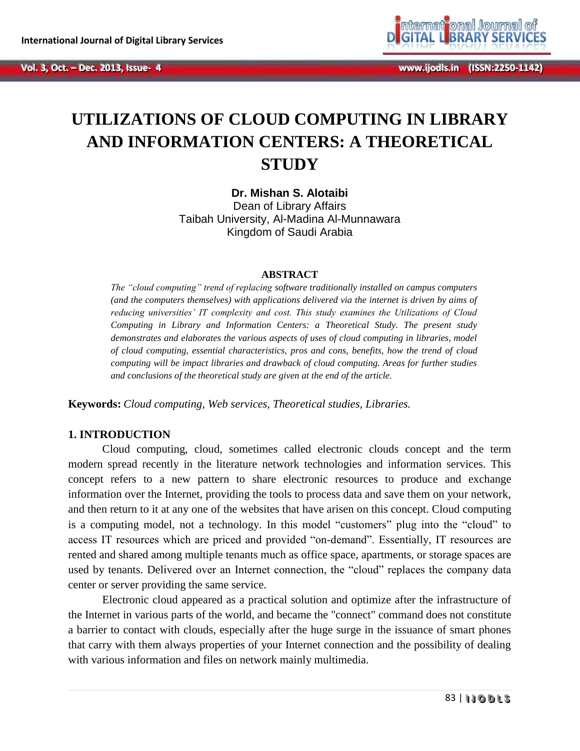

# **UTILIZATIONS OF CLOUD COMPUTING IN LIBRARY AND INFORMATION CENTERS: A THEORETICAL STUDY**

**Dr. Mishan S. Alotaibi** Dean of Library Affairs Taibah University, Al-Madina Al-Munnawara Kingdom of Saudi Arabia

#### **ABSTRACT**

*The "cloud computing" trend of replacing software traditionally installed on campus computers (and the computers themselves) with applications delivered via the internet is driven by aims of reducing universities' IT complexity and cost. This study examines the Utilizations of Cloud Computing in Library and Information Centers: a Theoretical Study. The present study demonstrates and elaborates the various aspects of uses of cloud computing in libraries, model of cloud computing, essential characteristics, pros and cons, benefits, how the trend of cloud computing will be impact libraries and drawback of cloud computing. Areas for further studies and conclusions of the theoretical study are given at the end of the article.*

**Keywords:** *Cloud computing, Web services, Theoretical studies, Libraries.*

### **1. INTRODUCTION**

Cloud computing, cloud, sometimes called electronic clouds concept and the term modern spread recently in the literature network technologies and information services. This concept refers to a new pattern to share electronic resources to produce and exchange information over the Internet, providing the tools to process data and save them on your network, and then return to it at any one of the websites that have arisen on this concept. Cloud computing is a computing model, not a technology. In this model "customers" plug into the "cloud" to access IT resources which are priced and provided "on-demand". Essentially, IT resources are rented and shared among multiple tenants much as office space, apartments, or storage spaces are used by tenants. Delivered over an Internet connection, the "cloud" replaces the company data center or server providing the same service.

Electronic cloud appeared as a practical solution and optimize after the infrastructure of the Internet in various parts of the world, and became the "connect" command does not constitute a barrier to contact with clouds, especially after the huge surge in the issuance of smart phones that carry with them always properties of your Internet connection and the possibility of dealing with various information and files on network mainly multimedia.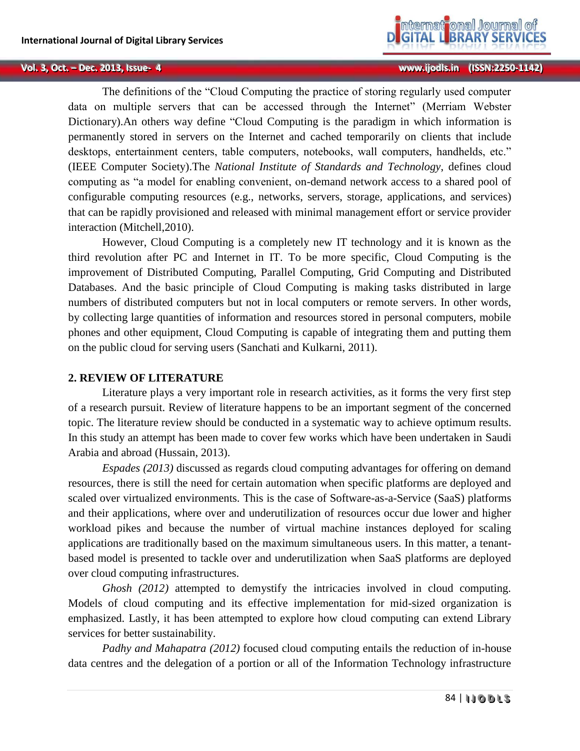

The definitions of the "Cloud Computing the practice of storing regularly used computer data on multiple servers that can be accessed through the Internet" (Merriam Webster Dictionary).An others way define "Cloud Computing is the paradigm in which information is permanently stored in servers on the Internet and cached temporarily on clients that include desktops, entertainment centers, table computers, notebooks, wall computers, handhelds, etc." (IEEE Computer Society).The *National Institute of Standards and Technology*, defines cloud computing as "a model for enabling convenient, on-demand network access to a shared pool of configurable computing resources (e.g., networks, servers, storage, applications, and services) that can be rapidly provisioned and released with minimal management effort or service provider interaction (Mitchell,2010).

However, Cloud Computing is a completely new IT technology and it is known as the third revolution after PC and Internet in IT. To be more specific, Cloud Computing is the improvement of Distributed Computing, Parallel Computing, Grid Computing and Distributed Databases. And the basic principle of Cloud Computing is making tasks distributed in large numbers of distributed computers but not in local computers or remote servers. In other words, by collecting large quantities of information and resources stored in personal computers, mobile phones and other equipment, Cloud Computing is capable of integrating them and putting them on the public cloud for serving users (Sanchati and Kulkarni, 2011).

### **2. REVIEW OF LITERATURE**

Literature plays a very important role in research activities, as it forms the very first step of a research pursuit. Review of literature happens to be an important segment of the concerned topic. The literature review should be conducted in a systematic way to achieve optimum results. In this study an attempt has been made to cover few works which have been undertaken in Saudi Arabia and abroad (Hussain, 2013).

*Espades (2013)* discussed as regards cloud computing advantages for offering on demand resources, there is still the need for certain automation when specific platforms are deployed and scaled over virtualized environments. This is the case of Software-as-a-Service (SaaS) platforms and their applications, where over and underutilization of resources occur due lower and higher workload pikes and because the number of virtual machine instances deployed for scaling applications are traditionally based on the maximum simultaneous users. In this matter, a tenantbased model is presented to tackle over and underutilization when SaaS platforms are deployed over cloud computing infrastructures.

*Ghosh (2012)* attempted to demystify the intricacies involved in cloud computing. Models of cloud computing and its effective implementation for mid-sized organization is emphasized. Lastly, it has been attempted to explore how cloud computing can extend Library services for better sustainability.

*Padhy and Mahapatra (2012)* focused cloud computing entails the reduction of in-house data centres and the delegation of a portion or all of the Information Technology infrastructure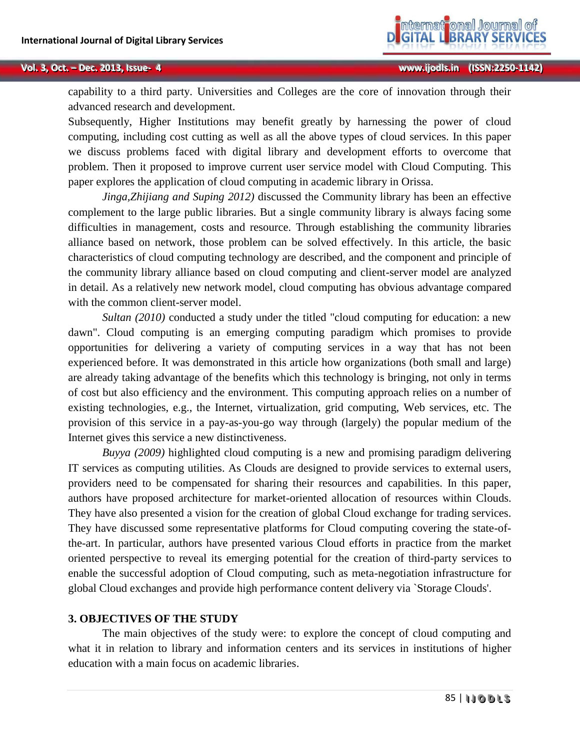capability to a third party. Universities and Colleges are the core of innovation through their advanced research and development.

Subsequently, Higher Institutions may benefit greatly by harnessing the power of cloud computing, including cost cutting as well as all the above types of cloud services. In this paper we discuss problems faced with digital library and development efforts to overcome that problem. Then it proposed to improve current user service model with Cloud Computing. This paper explores the application of cloud computing in academic library in Orissa.

*Jinga,Zhijiang and Suping 2012)* discussed the Community library has been an effective complement to the large public libraries. But a single community library is always facing some difficulties in management, costs and resource. Through establishing the community libraries alliance based on network, those problem can be solved effectively. In this article, the basic characteristics of cloud computing technology are described, and the component and principle of the community library alliance based on cloud computing and client-server model are analyzed in detail. As a relatively new network model, cloud computing has obvious advantage compared with the common client-server model.

*Sultan (2010)* conducted a study under the titled "cloud computing for education: a new dawn". Cloud computing is an emerging computing paradigm which promises to provide opportunities for delivering a variety of computing services in a way that has not been experienced before. It was demonstrated in this article how organizations (both small and large) are already taking advantage of the benefits which this technology is bringing, not only in terms of cost but also efficiency and the environment. This computing approach relies on a number of existing technologies, e.g., the Internet, virtualization, grid computing, Web services, etc. The provision of this service in a pay-as-you-go way through (largely) the popular medium of the Internet gives this service a new distinctiveness.

*Buyya (2009)* highlighted cloud computing is a new and promising paradigm delivering IT services as computing utilities. As Clouds are designed to provide services to external users, providers need to be compensated for sharing their resources and capabilities. In this paper, authors have proposed architecture for market-oriented allocation of resources within Clouds. They have also presented a vision for the creation of global Cloud exchange for trading services. They have discussed some representative platforms for Cloud computing covering the state-ofthe-art. In particular, authors have presented various Cloud efforts in practice from the market oriented perspective to reveal its emerging potential for the creation of third-party services to enable the successful adoption of Cloud computing, such as meta-negotiation infrastructure for global Cloud exchanges and provide high performance content delivery via `Storage Clouds'.

### **3. OBJECTIVES OF THE STUDY**

The main objectives of the study were: to explore the concept of cloud computing and what it in relation to library and information centers and its services in institutions of higher education with a main focus on academic libraries.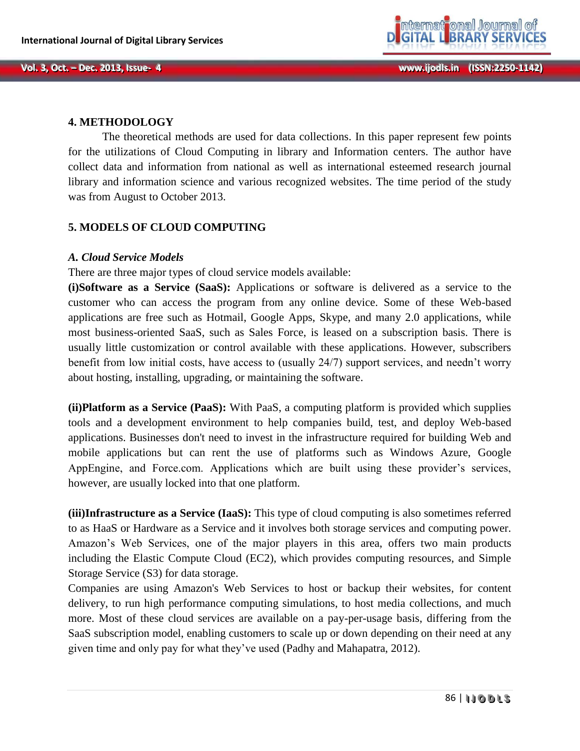

### **4. METHODOLOGY**

The theoretical methods are used for data collections. In this paper represent few points for the utilizations of Cloud Computing in library and Information centers. The author have collect data and information from national as well as international esteemed research journal library and information science and various recognized websites. The time period of the study was from August to October 2013.

## **5. MODELS OF CLOUD COMPUTING**

### *A. Cloud Service Models*

There are three major types of cloud service models available:

**(i)Software as a Service (SaaS):** Applications or software is delivered as a service to the customer who can access the program from any online device. Some of these Web-based applications are free such as Hotmail, Google Apps, Skype, and many 2.0 applications, while most business-oriented SaaS, such as Sales Force, is leased on a subscription basis. There is usually little customization or control available with these applications. However, subscribers benefit from low initial costs, have access to (usually 24/7) support services, and needn't worry about hosting, installing, upgrading, or maintaining the software.

**(ii)Platform as a Service (PaaS):** With PaaS, a computing platform is provided which supplies tools and a development environment to help companies build, test, and deploy Web-based applications. Businesses don't need to invest in the infrastructure required for building Web and mobile applications but can rent the use of platforms such as Windows Azure, Google AppEngine, and Force.com. Applications which are built using these provider's services, however, are usually locked into that one platform.

**(iii)Infrastructure as a Service (IaaS):** This type of cloud computing is also sometimes referred to as HaaS or Hardware as a Service and it involves both storage services and computing power. Amazon's Web Services, one of the major players in this area, offers two main products including the Elastic Compute Cloud (EC2), which provides computing resources, and Simple Storage Service (S3) for data storage.

Companies are using Amazon's Web Services to host or backup their websites, for content delivery, to run high performance computing simulations, to host media collections, and much more. Most of these cloud services are available on a pay-per-usage basis, differing from the SaaS subscription model, enabling customers to scale up or down depending on their need at any given time and only pay for what they've used (Padhy and Mahapatra, 2012).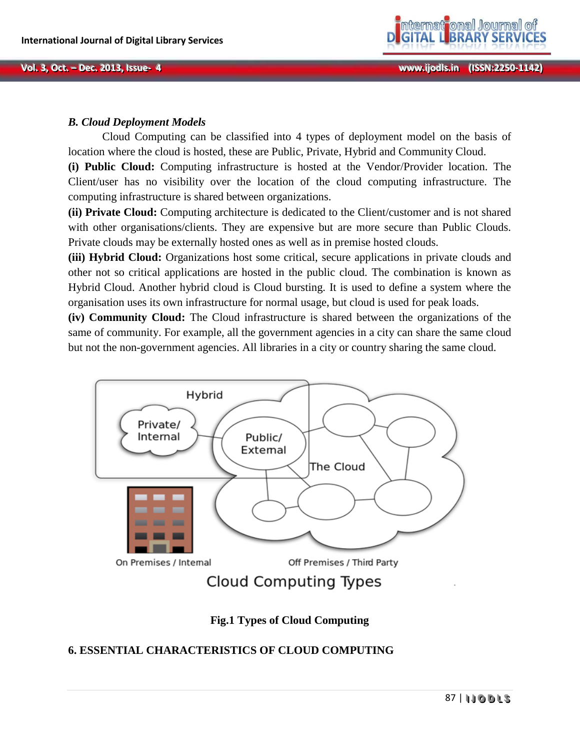

## *B. Cloud Deployment Models*

Cloud Computing can be classified into 4 types of deployment model on the basis of location where the cloud is hosted, these are Public, Private, Hybrid and Community Cloud.

**(i) Public Cloud:** Computing infrastructure is hosted at the Vendor/Provider location. The Client/user has no visibility over the location of the cloud computing infrastructure. The computing infrastructure is shared between organizations.

**(ii) Private Cloud:** Computing architecture is dedicated to the Client/customer and is not shared with other organisations/clients. They are expensive but are more secure than Public Clouds. Private clouds may be externally hosted ones as well as in premise hosted clouds.

**(iii) Hybrid Cloud:** Organizations host some critical, secure applications in private clouds and other not so critical applications are hosted in the public cloud. The combination is known as Hybrid Cloud. Another hybrid cloud is Cloud bursting. It is used to define a system where the organisation uses its own infrastructure for normal usage, but cloud is used for peak loads.

**(iv) Community Cloud:** The Cloud infrastructure is shared between the organizations of the same of community. For example, all the government agencies in a city can share the same cloud but not the non-government agencies. All libraries in a city or country sharing the same cloud.



**Fig.1 Types of Cloud Computing**

# **6. ESSENTIAL CHARACTERISTICS OF CLOUD COMPUTING**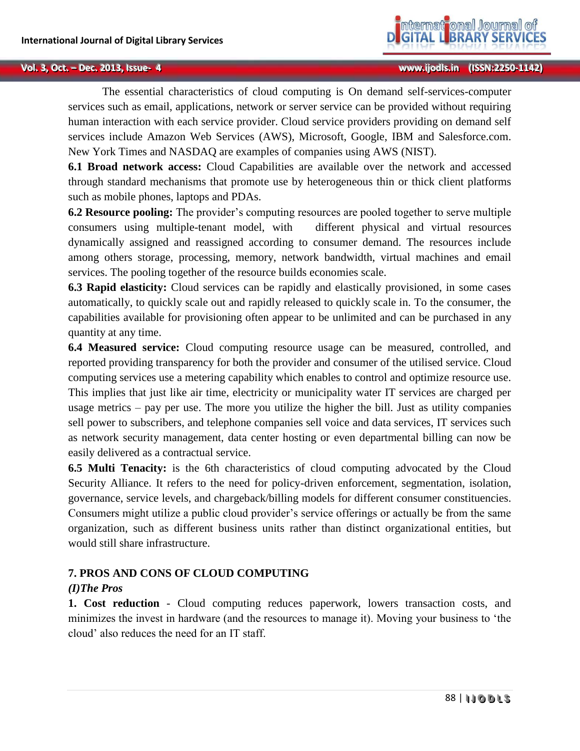The essential characteristics of cloud computing is On demand self-services-computer services such as email, applications, network or server service can be provided without requiring human interaction with each service provider. Cloud service providers providing on demand self services include Amazon Web Services (AWS), Microsoft, Google, IBM and Salesforce.com. New York Times and NASDAQ are examples of companies using AWS (NIST).

**6.1 Broad network access:** Cloud Capabilities are available over the network and accessed through standard mechanisms that promote use by heterogeneous thin or thick client platforms such as mobile phones, laptops and PDAs.

**6.2 Resource pooling:** The provider's computing resources are pooled together to serve multiple consumers using multiple-tenant model, with different physical and virtual resources dynamically assigned and reassigned according to consumer demand. The resources include among others storage, processing, memory, network bandwidth, virtual machines and email services. The pooling together of the resource builds economies scale.

**6.3 Rapid elasticity:** Cloud services can be rapidly and elastically provisioned, in some cases automatically, to quickly scale out and rapidly released to quickly scale in. To the consumer, the capabilities available for provisioning often appear to be unlimited and can be purchased in any quantity at any time.

**6.4 Measured service:** Cloud computing resource usage can be measured, controlled, and reported providing transparency for both the provider and consumer of the utilised service. Cloud computing services use a metering capability which enables to control and optimize resource use. This implies that just like air time, electricity or municipality water IT services are charged per usage metrics – pay per use. The more you utilize the higher the bill. Just as utility companies sell power to subscribers, and telephone companies sell voice and data services, IT services such as network security management, data center hosting or even departmental billing can now be easily delivered as a contractual service.

**6.5 Multi Tenacity:** is the 6th characteristics of cloud computing advocated by the Cloud Security Alliance. It refers to the need for policy-driven enforcement, segmentation, isolation, governance, service levels, and chargeback/billing models for different consumer constituencies. Consumers might utilize a public cloud provider's service offerings or actually be from the same organization, such as different business units rather than distinct organizational entities, but would still share infrastructure.

# **7. PROS AND CONS OF CLOUD COMPUTING**

# *(I)The Pros*

**1. Cost reduction** - Cloud computing reduces paperwork, lowers transaction costs, and minimizes the invest in hardware (and the resources to manage it). Moving your business to 'the cloud' also reduces the need for an IT staff.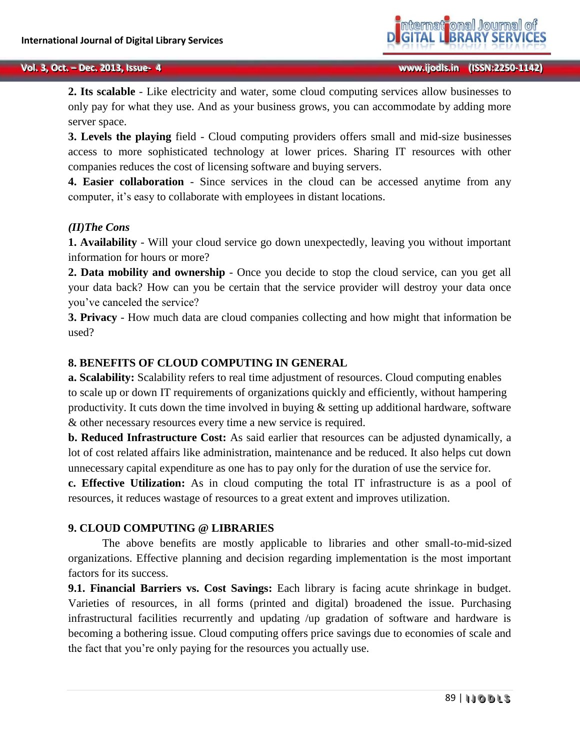**2. Its scalable** - Like electricity and water, some cloud computing services allow businesses to only pay for what they use. And as your business grows, you can accommodate by adding more server space.

**3. Levels the playing** field - Cloud computing providers offers small and mid-size businesses access to more sophisticated technology at lower prices. Sharing IT resources with other companies reduces the cost of licensing software and buying servers.

**4. Easier collaboration** - Since services in the cloud can be accessed anytime from any computer, it's easy to collaborate with employees in distant locations.

### *(II)The Cons*

**1. Availability** - Will your cloud service go down unexpectedly, leaving you without important information for hours or more?

**2. Data mobility and ownership** - Once you decide to stop the cloud service, can you get all your data back? How can you be certain that the service provider will destroy your data once you've canceled the service?

**3. Privacy** - How much data are cloud companies collecting and how might that information be used?

### **8. BENEFITS OF CLOUD COMPUTING IN GENERAL**

**a. Scalability:** Scalability refers to real time adjustment of resources. Cloud computing enables to scale up or down IT requirements of organizations quickly and efficiently, without hampering productivity. It cuts down the time involved in buying & setting up additional hardware, software & other necessary resources every time a new service is required.

**b. Reduced Infrastructure Cost:** As said earlier that resources can be adjusted dynamically, a lot of cost related affairs like administration, maintenance and be reduced. It also helps cut down unnecessary capital expenditure as one has to pay only for the duration of use the service for.

**c. Effective Utilization:** As in cloud computing the total IT infrastructure is as a pool of resources, it reduces wastage of resources to a great extent and improves utilization.

#### **9. CLOUD COMPUTING @ LIBRARIES**

The above benefits are mostly applicable to libraries and other small-to-mid-sized organizations. Effective planning and decision regarding implementation is the most important factors for its success.

**9.1. Financial Barriers vs. Cost Savings:** Each library is facing acute shrinkage in budget. Varieties of resources, in all forms (printed and digital) broadened the issue. Purchasing infrastructural facilities recurrently and updating /up gradation of software and hardware is becoming a bothering issue. Cloud computing offers price savings due to economies of scale and the fact that you're only paying for the resources you actually use.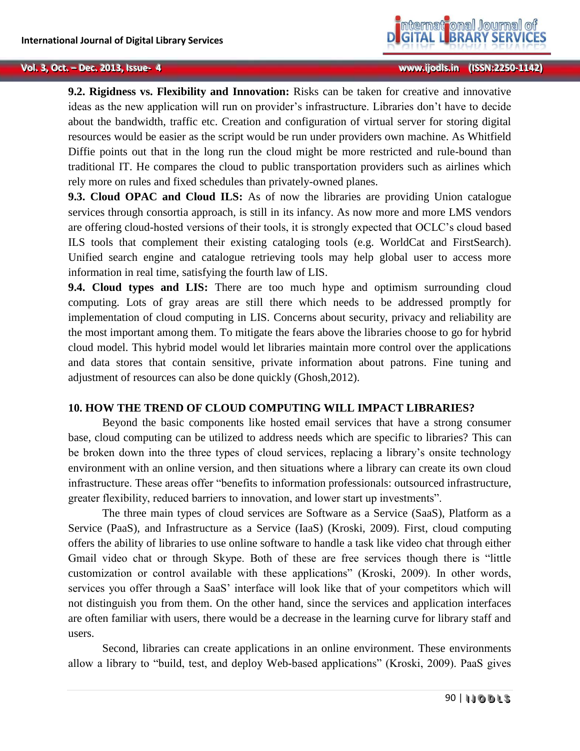**9.2. Rigidness vs. Flexibility and Innovation:** Risks can be taken for creative and innovative ideas as the new application will run on provider's infrastructure. Libraries don't have to decide about the bandwidth, traffic etc. Creation and configuration of virtual server for storing digital resources would be easier as the script would be run under providers own machine. As Whitfield Diffie points out that in the long run the cloud might be more restricted and rule-bound than traditional IT. He compares the cloud to public transportation providers such as airlines which rely more on rules and fixed schedules than privately-owned planes.

**9.3. Cloud OPAC and Cloud ILS:** As of now the libraries are providing Union catalogue services through consortia approach, is still in its infancy. As now more and more LMS vendors are offering cloud-hosted versions of their tools, it is strongly expected that OCLC's cloud based ILS tools that complement their existing cataloging tools (e.g. WorldCat and FirstSearch). Unified search engine and catalogue retrieving tools may help global user to access more information in real time, satisfying the fourth law of LIS.

**9.4. Cloud types and LIS:** There are too much hype and optimism surrounding cloud computing. Lots of gray areas are still there which needs to be addressed promptly for implementation of cloud computing in LIS. Concerns about security, privacy and reliability are the most important among them. To mitigate the fears above the libraries choose to go for hybrid cloud model. This hybrid model would let libraries maintain more control over the applications and data stores that contain sensitive, private information about patrons. Fine tuning and adjustment of resources can also be done quickly (Ghosh,2012).

### **10. HOW THE TREND OF CLOUD COMPUTING WILL IMPACT LIBRARIES?**

Beyond the basic components like hosted email services that have a strong consumer base, cloud computing can be utilized to address needs which are specific to libraries? This can be broken down into the three types of cloud services, replacing a library's onsite technology environment with an online version, and then situations where a library can create its own cloud infrastructure. These areas offer "benefits to information professionals: outsourced infrastructure, greater flexibility, reduced barriers to innovation, and lower start up investments".

The three main types of cloud services are Software as a Service (SaaS), Platform as a Service (PaaS), and Infrastructure as a Service (IaaS) (Kroski, 2009). First, cloud computing offers the ability of libraries to use online software to handle a task like video chat through either Gmail video chat or through Skype. Both of these are free services though there is "little customization or control available with these applications" (Kroski, 2009). In other words, services you offer through a SaaS' interface will look like that of your competitors which will not distinguish you from them. On the other hand, since the services and application interfaces are often familiar with users, there would be a decrease in the learning curve for library staff and users.

Second, libraries can create applications in an online environment. These environments allow a library to "build, test, and deploy Web-based applications" (Kroski, 2009). PaaS gives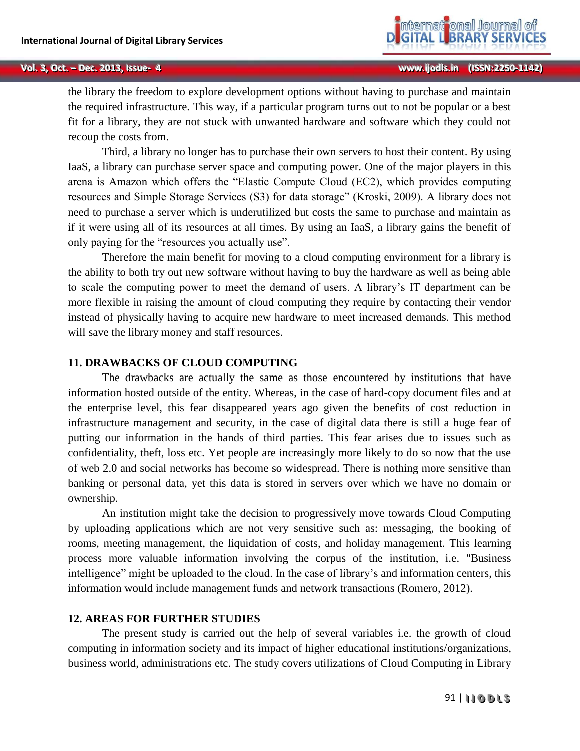the library the freedom to explore development options without having to purchase and maintain the required infrastructure. This way, if a particular program turns out to not be popular or a best fit for a library, they are not stuck with unwanted hardware and software which they could not recoup the costs from.

Third, a library no longer has to purchase their own servers to host their content. By using IaaS, a library can purchase server space and computing power. One of the major players in this arena is Amazon which offers the "Elastic Compute Cloud (EC2), which provides computing resources and Simple Storage Services (S3) for data storage" (Kroski, 2009). A library does not need to purchase a server which is underutilized but costs the same to purchase and maintain as if it were using all of its resources at all times. By using an IaaS, a library gains the benefit of only paying for the "resources you actually use".

Therefore the main benefit for moving to a cloud computing environment for a library is the ability to both try out new software without having to buy the hardware as well as being able to scale the computing power to meet the demand of users. A library's IT department can be more flexible in raising the amount of cloud computing they require by contacting their vendor instead of physically having to acquire new hardware to meet increased demands. This method will save the library money and staff resources.

### **11. DRAWBACKS OF CLOUD COMPUTING**

The drawbacks are actually the same as those encountered by institutions that have information hosted outside of the entity. Whereas, in the case of hard-copy document files and at the enterprise level, this fear disappeared years ago given the benefits of cost reduction in infrastructure management and security, in the case of digital data there is still a huge fear of putting our information in the hands of third parties. This fear arises due to issues such as confidentiality, theft, loss etc. Yet people are increasingly more likely to do so now that the use of web 2.0 and social networks has become so widespread. There is nothing more sensitive than banking or personal data, yet this data is stored in servers over which we have no domain or ownership.

An institution might take the decision to progressively move towards Cloud Computing by uploading applications which are not very sensitive such as: messaging, the booking of rooms, meeting management, the liquidation of costs, and holiday management. This learning process more valuable information involving the corpus of the institution, i.e. "Business intelligence" might be uploaded to the cloud. In the case of library's and information centers, this information would include management funds and network transactions (Romero, 2012).

### **12. AREAS FOR FURTHER STUDIES**

The present study is carried out the help of several variables i.e. the growth of cloud computing in information society and its impact of higher educational institutions/organizations, business world, administrations etc. The study covers utilizations of Cloud Computing in Library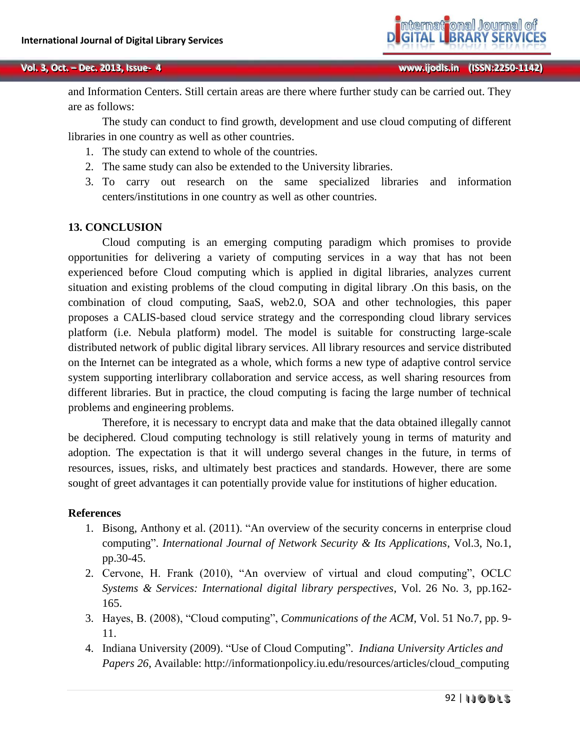and Information Centers. Still certain areas are there where further study can be carried out. They are as follows:

The study can conduct to find growth, development and use cloud computing of different libraries in one country as well as other countries.

- 1. The study can extend to whole of the countries.
- 2. The same study can also be extended to the University libraries.
- 3. To carry out research on the same specialized libraries and information centers/institutions in one country as well as other countries.

### **13. CONCLUSION**

Cloud computing is an emerging computing paradigm which promises to provide opportunities for delivering a variety of computing services in a way that has not been experienced before Cloud computing which is applied in digital libraries, analyzes current situation and existing problems of the cloud computing in digital library .On this basis, on the combination of cloud computing, SaaS, web2.0, SOA and other technologies, this paper proposes a CALIS-based cloud service strategy and the corresponding cloud library services platform (i.e. Nebula platform) model. The model is suitable for constructing large-scale distributed network of public digital library services. All library resources and service distributed on the Internet can be integrated as a whole, which forms a new type of adaptive control service system supporting interlibrary collaboration and service access, as well sharing resources from different libraries. But in practice, the cloud computing is facing the large number of technical problems and engineering problems.

Therefore, it is necessary to encrypt data and make that the data obtained illegally cannot be deciphered. Cloud computing technology is still relatively young in terms of maturity and adoption. The expectation is that it will undergo several changes in the future, in terms of resources, issues, risks, and ultimately best practices and standards. However, there are some sought of greet advantages it can potentially provide value for institutions of higher education.

### **References**

- 1. Bisong, Anthony et al. (2011). "An overview of the security concerns in enterprise cloud computing". *International Journal of Network Security & Its Applications*, Vol.3, No.1, pp.30-45.
- 2. Cervone, H. Frank (2010), "An overview of virtual and cloud computing", OCLC *Systems & Services: International digital library perspectives*, Vol. 26 No. 3, pp.162- 165.
- 3. Hayes, B. (2008), "Cloud computing", *Communications of the ACM*, Vol. 51 No.7, pp. 9- 11.
- 4. Indiana University (2009). "Use of Cloud Computing". *Indiana University Articles and Papers 26*, Available: http://informationpolicy.iu.edu/resources/articles/cloud\_computing